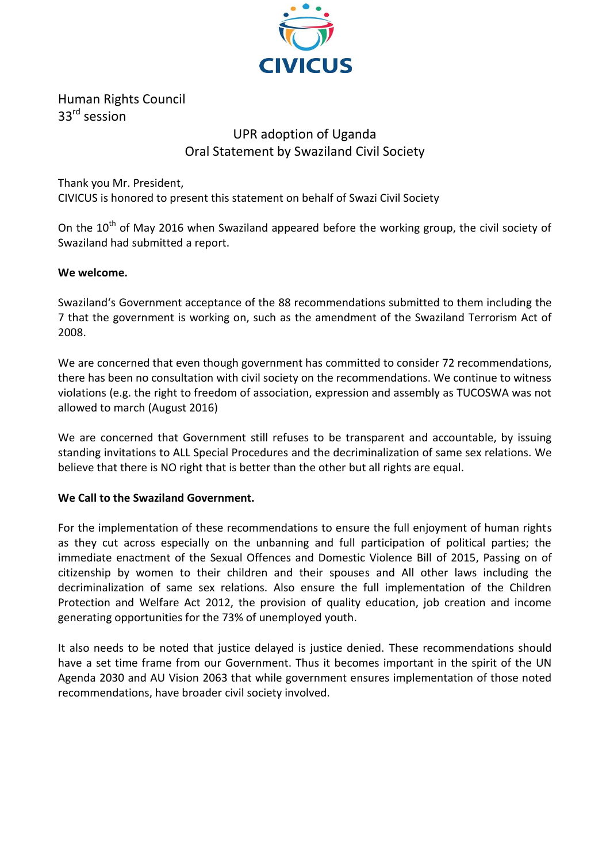

Human Rights Council 33rd session

## UPR adoption of Uganda Oral Statement by Swaziland Civil Society

Thank you Mr. President, CIVICUS is honored to present this statement on behalf of Swazi Civil Society

On the  $10<sup>th</sup>$  of May 2016 when Swaziland appeared before the working group, the civil society of Swaziland had submitted a report.

## **We welcome.**

Swaziland's Government acceptance of the 88 recommendations submitted to them including the 7 that the government is working on, such as the amendment of the Swaziland Terrorism Act of 2008.

We are concerned that even though government has committed to consider 72 recommendations, there has been no consultation with civil society on the recommendations. We continue to witness violations (e.g. the right to freedom of association, expression and assembly as TUCOSWA was not allowed to march (August 2016)

We are concerned that Government still refuses to be transparent and accountable, by issuing standing invitations to ALL Special Procedures and the decriminalization of same sex relations. We believe that there is NO right that is better than the other but all rights are equal.

## **We Call to the Swaziland Government.**

For the implementation of these recommendations to ensure the full enjoyment of human rights as they cut across especially on the unbanning and full participation of political parties; the immediate enactment of the Sexual Offences and Domestic Violence Bill of 2015, Passing on of citizenship by women to their children and their spouses and All other laws including the decriminalization of same sex relations. Also ensure the full implementation of the Children Protection and Welfare Act 2012, the provision of quality education, job creation and income generating opportunities for the 73% of unemployed youth.

It also needs to be noted that justice delayed is justice denied. These recommendations should have a set time frame from our Government. Thus it becomes important in the spirit of the UN Agenda 2030 and AU Vision 2063 that while government ensures implementation of those noted recommendations, have broader civil society involved.